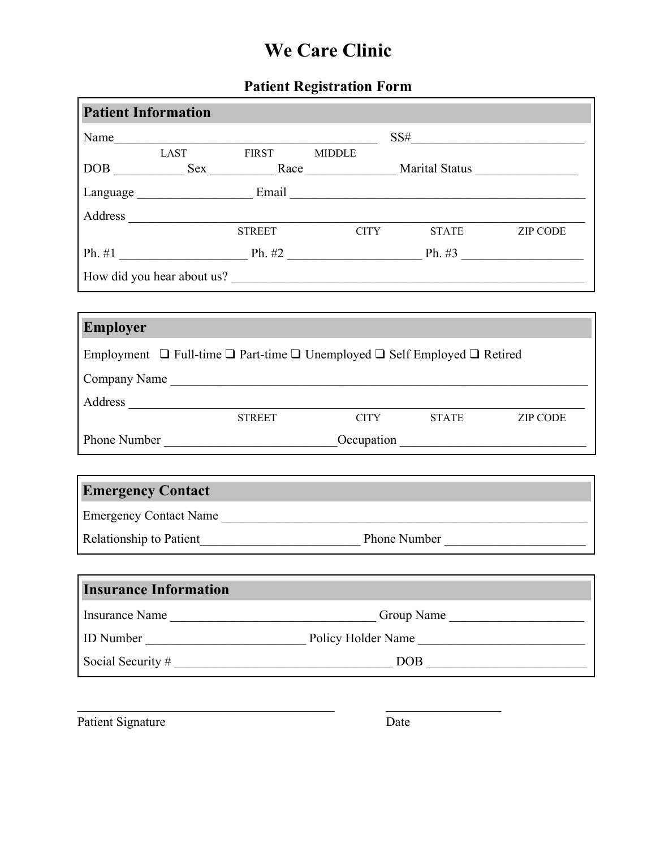### **Patient Registration Form**

| <b>Patient Information</b> |                              |                                                                                                    |  |                                  |                 |
|----------------------------|------------------------------|----------------------------------------------------------------------------------------------------|--|----------------------------------|-----------------|
|                            |                              |                                                                                                    |  | $SS# \underline{\qquad \qquad }$ |                 |
|                            |                              |                                                                                                    |  |                                  |                 |
|                            |                              |                                                                                                    |  |                                  |                 |
|                            |                              |                                                                                                    |  |                                  |                 |
|                            |                              | <b>STREET</b>                                                                                      |  | CITY STATE                       | <b>ZIP CODE</b> |
|                            |                              |                                                                                                    |  |                                  |                 |
|                            |                              |                                                                                                    |  |                                  |                 |
|                            |                              | How did you hear about us?                                                                         |  |                                  |                 |
|                            |                              |                                                                                                    |  |                                  |                 |
| <b>Employer</b>            |                              |                                                                                                    |  |                                  |                 |
|                            |                              | Employment $\Box$ Full-time $\Box$ Part-time $\Box$ Unemployed $\Box$ Self Employed $\Box$ Retired |  |                                  |                 |
|                            |                              |                                                                                                    |  |                                  |                 |
|                            |                              | Company Name                                                                                       |  |                                  |                 |
|                            |                              | <b>STREET</b>                                                                                      |  | CITY STATE                       | <b>ZIP CODE</b> |
|                            |                              |                                                                                                    |  |                                  |                 |
|                            |                              |                                                                                                    |  |                                  |                 |
| <b>Emergency Contact</b>   |                              |                                                                                                    |  |                                  |                 |
|                            |                              |                                                                                                    |  |                                  |                 |
|                            |                              | Emergency Contact Name                                                                             |  |                                  |                 |
|                            |                              |                                                                                                    |  |                                  |                 |
|                            | <b>Insurance Information</b> |                                                                                                    |  |                                  |                 |
|                            |                              | Insurance Name<br>Group Name                                                                       |  |                                  |                 |
|                            |                              |                                                                                                    |  |                                  |                 |
|                            |                              |                                                                                                    |  |                                  |                 |
|                            |                              |                                                                                                    |  |                                  |                 |

Patient Signature Date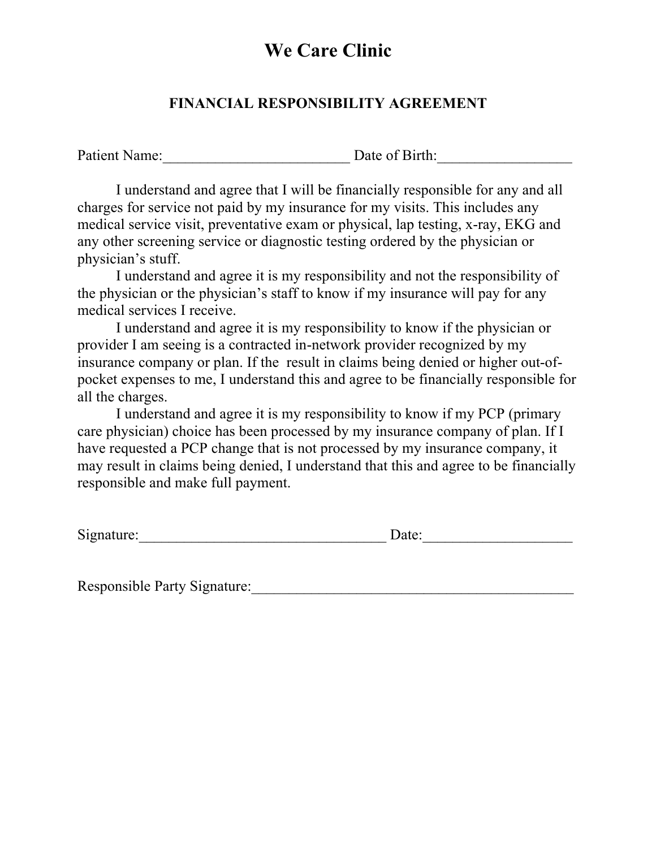### **FINANCIAL RESPONSIBILITY AGREEMENT**

Patient Name: Date of Birth:

I understand and agree that I will be financially responsible for any and all charges for service not paid by my insurance for my visits. This includes any medical service visit, preventative exam or physical, lap testing, x-ray, EKG and any other screening service or diagnostic testing ordered by the physician or physician's stuff.

I understand and agree it is my responsibility and not the responsibility of the physician or the physician's staff to know if my insurance will pay for any medical services I receive.

I understand and agree it is my responsibility to know if the physician or provider I am seeing is a contracted in-network provider recognized by my insurance company or plan. If the result in claims being denied or higher out-ofpocket expenses to me, I understand this and agree to be financially responsible for all the charges.

I understand and agree it is my responsibility to know if my PCP (primary care physician) choice has been processed by my insurance company of plan. If I have requested a PCP change that is not processed by my insurance company, it may result in claims being denied, I understand that this and agree to be financially responsible and make full payment.

Signature:\_\_\_\_\_\_\_\_\_\_\_\_\_\_\_\_\_\_\_\_\_\_\_\_\_\_\_\_\_\_\_\_\_ Date:\_\_\_\_\_\_\_\_\_\_\_\_\_\_\_\_\_\_\_\_

Responsible Party Signature:\_\_\_\_\_\_\_\_\_\_\_\_\_\_\_\_\_\_\_\_\_\_\_\_\_\_\_\_\_\_\_\_\_\_\_\_\_\_\_\_\_\_\_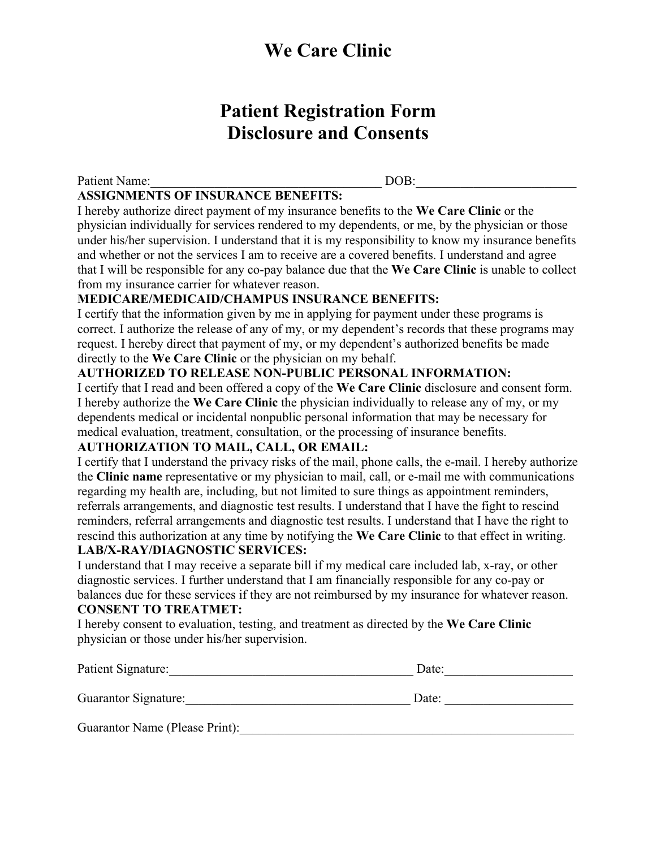## **Patient Registration Form Disclosure and Consents**

| <b>Patient Name:</b>                      | DOB. |  |
|-------------------------------------------|------|--|
| <b>ASSIGNMENTS OF INSURANCE BENEFITS:</b> |      |  |

I hereby authorize direct payment of my insurance benefits to the **We Care Clinic** or the physician individually for services rendered to my dependents, or me, by the physician or those under his/her supervision. I understand that it is my responsibility to know my insurance benefits and whether or not the services I am to receive are a covered benefits. I understand and agree that I will be responsible for any co-pay balance due that the **We Care Clinic** is unable to collect from my insurance carrier for whatever reason.

#### **MEDICARE/MEDICAID/CHAMPUS INSURANCE BENEFITS:**

I certify that the information given by me in applying for payment under these programs is correct. I authorize the release of any of my, or my dependent's records that these programs may request. I hereby direct that payment of my, or my dependent's authorized benefits be made directly to the **We Care Clinic** or the physician on my behalf.

#### **AUTHORIZED TO RELEASE NON-PUBLIC PERSONAL INFORMATION:**

I certify that I read and been offered a copy of the **We Care Clinic** disclosure and consent form. I hereby authorize the **We Care Clinic** the physician individually to release any of my, or my dependents medical or incidental nonpublic personal information that may be necessary for medical evaluation, treatment, consultation, or the processing of insurance benefits.

#### **AUTHORIZATION TO MAIL, CALL, OR EMAIL:**

I certify that I understand the privacy risks of the mail, phone calls, the e-mail. I hereby authorize the **Clinic name** representative or my physician to mail, call, or e-mail me with communications regarding my health are, including, but not limited to sure things as appointment reminders, referrals arrangements, and diagnostic test results. I understand that I have the fight to rescind reminders, referral arrangements and diagnostic test results. I understand that I have the right to rescind this authorization at any time by notifying the **We Care Clinic** to that effect in writing. **LAB/X-RAY/DIAGNOSTIC SERVICES:**

I understand that I may receive a separate bill if my medical care included lab, x-ray, or other diagnostic services. I further understand that I am financially responsible for any co-pay or balances due for these services if they are not reimbursed by my insurance for whatever reason.

#### **CONSENT TO TREATMET:**

I hereby consent to evaluation, testing, and treatment as directed by the **We Care Clinic** physician or those under his/her supervision.

| Patient Signature:             | Date: |  |  |
|--------------------------------|-------|--|--|
| Guarantor Signature:           | Date: |  |  |
| Guarantor Name (Please Print): |       |  |  |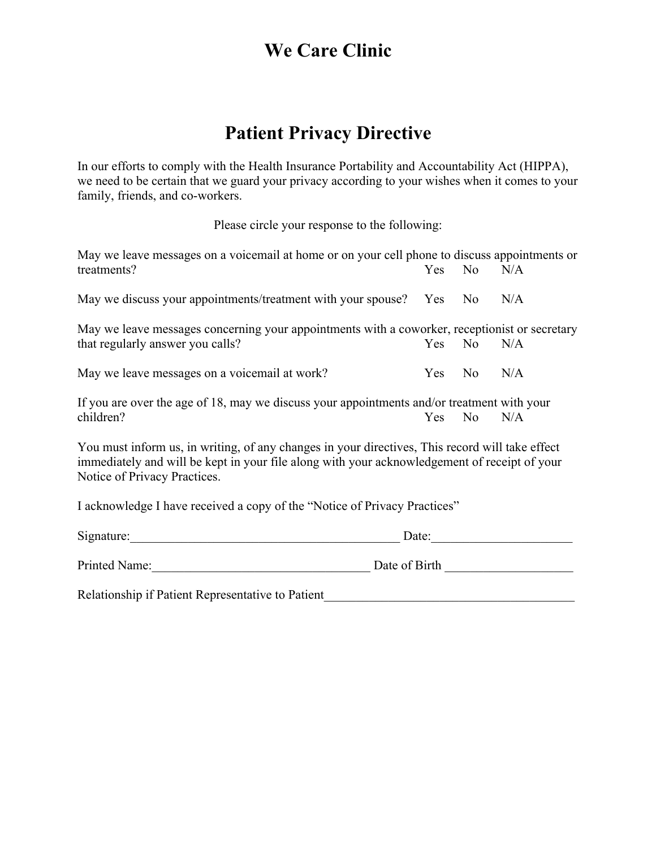# **Patient Privacy Directive**

In our efforts to comply with the Health Insurance Portability and Accountability Act (HIPPA), we need to be certain that we guard your privacy according to your wishes when it comes to your family, friends, and co-workers.

Please circle your response to the following:

| May we leave messages on a voicemail at home or on your cell phone to discuss appointments or                                                                                                                                   |        |                |     |  |
|---------------------------------------------------------------------------------------------------------------------------------------------------------------------------------------------------------------------------------|--------|----------------|-----|--|
| treatments?                                                                                                                                                                                                                     | Yes No |                | N/A |  |
| May we discuss your appointments/treatment with your spouse? Yes No                                                                                                                                                             |        |                | N/A |  |
| May we leave messages concerning your appointments with a coworker, receptionist or secretary                                                                                                                                   |        |                |     |  |
| that regularly answer you calls?                                                                                                                                                                                                | Yes No |                | N/A |  |
| May we leave messages on a voicemail at work?                                                                                                                                                                                   | Yes.   | $\overline{N}$ | N/A |  |
| If you are over the age of 18, may we discuss your appointments and/or treatment with your                                                                                                                                      |        |                |     |  |
| children?                                                                                                                                                                                                                       | Yes    | No             | N/A |  |
| You must inform us, in writing, of any changes in your directives, This record will take effect<br>immediately and will be kept in your file along with your acknowledgement of receipt of your<br>Notice of Privacy Practices. |        |                |     |  |
| I acknowledge I have received a copy of the "Notice of Privacy Practices"                                                                                                                                                       |        |                |     |  |

| Signature:    | Date:         |  |  |
|---------------|---------------|--|--|
| Printed Name: | Date of Birth |  |  |

Relationship if Patient Representative to Patient\_\_\_\_\_\_\_\_\_\_\_\_\_\_\_\_\_\_\_\_\_\_\_\_\_\_\_\_\_\_\_\_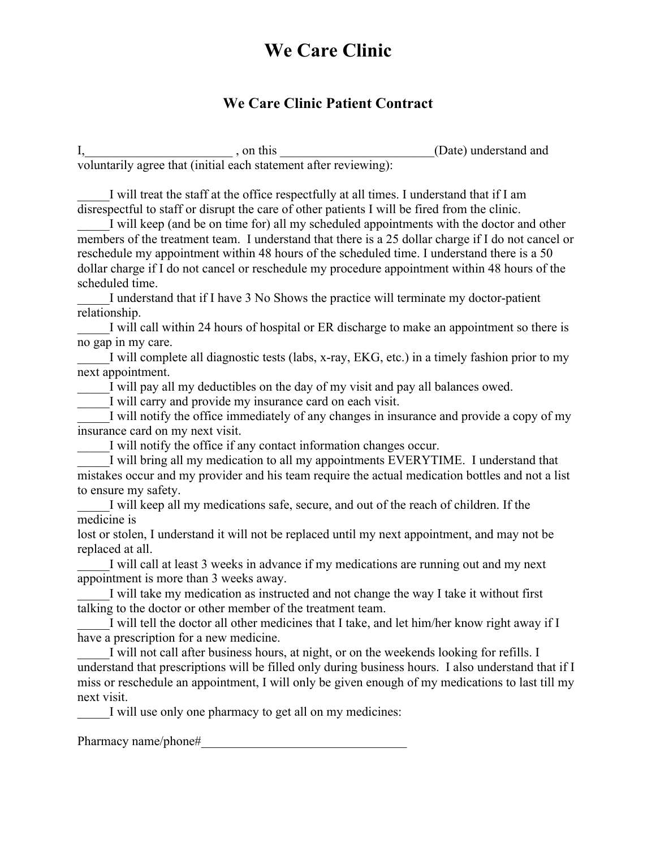### **We Care Clinic Patient Contract**

I, this the same of the same of the same of the same of the same of the same of the same of the same of the same of the same of the same of the same of the same of the same of the same of the same of the same of the same o voluntarily agree that (initial each statement after reviewing):

I will treat the staff at the office respectfully at all times. I understand that if I am disrespectful to staff or disrupt the care of other patients I will be fired from the clinic.

I will keep (and be on time for) all my scheduled appointments with the doctor and other members of the treatment team. I understand that there is a 25 dollar charge if I do not cancel or reschedule my appointment within 48 hours of the scheduled time. I understand there is a 50 dollar charge if I do not cancel or reschedule my procedure appointment within 48 hours of the scheduled time.

I understand that if I have 3 No Shows the practice will terminate my doctor-patient relationship.

I will call within 24 hours of hospital or ER discharge to make an appointment so there is no gap in my care.

I will complete all diagnostic tests (labs, x-ray, EKG, etc.) in a timely fashion prior to my next appointment.

I will pay all my deductibles on the day of my visit and pay all balances owed.

I will carry and provide my insurance card on each visit.

I will notify the office immediately of any changes in insurance and provide a copy of my insurance card on my next visit.

I will notify the office if any contact information changes occur.

I will bring all my medication to all my appointments EVERYTIME. I understand that mistakes occur and my provider and his team require the actual medication bottles and not a list to ensure my safety.

I will keep all my medications safe, secure, and out of the reach of children. If the medicine is

lost or stolen, I understand it will not be replaced until my next appointment, and may not be replaced at all.

I will call at least 3 weeks in advance if my medications are running out and my next appointment is more than 3 weeks away.

I will take my medication as instructed and not change the way I take it without first talking to the doctor or other member of the treatment team.

I will tell the doctor all other medicines that I take, and let him/her know right away if I have a prescription for a new medicine.

I will not call after business hours, at night, or on the weekends looking for refills. I understand that prescriptions will be filled only during business hours. I also understand that if I miss or reschedule an appointment, I will only be given enough of my medications to last till my next visit.

I will use only one pharmacy to get all on my medicines:

Pharmacy name/phone#